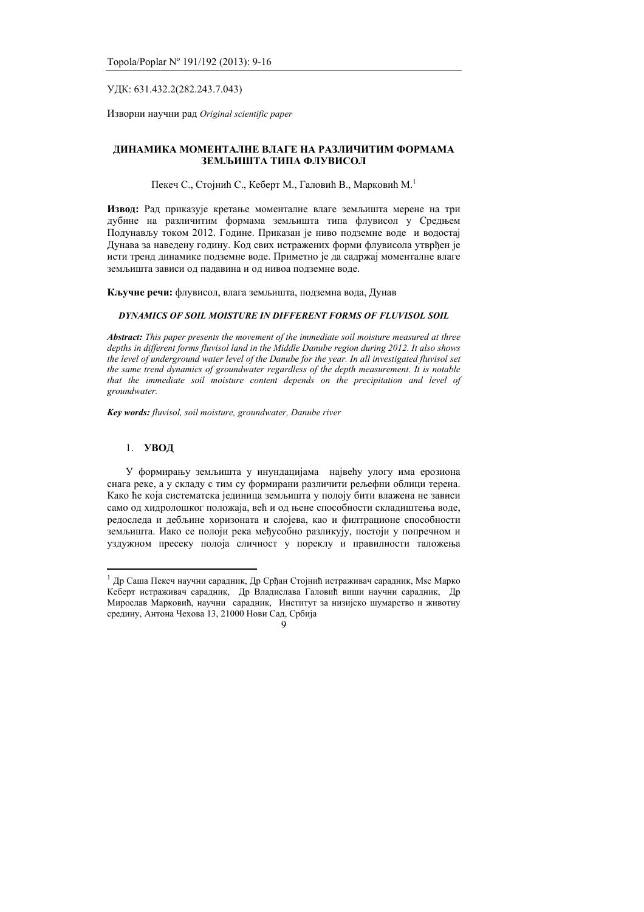### УДК: 631.432.2(282.243.7.043)

Изворни научни рад Original scientific paper

## **ДИНАМИКА МОМЕНТАЛНЕ ВЛАГЕ НА РАЗЛИЧИТИМ ФОРМАМА ЗЕМЉИШТА ТИПА ФЛУВИСОЛ**

Пекеч С., Стојнић С., Кеберт М., Галовић В., Марковић М.<sup>1</sup>

Извод: Рад приказује кретање моменталне влаге земљишта мерене на три дубине на различитим формама земљишта типа флувисол у Средњем Подунављу током 2012. Године. Приказан је ниво подземне воде и водостај Дунава за наведену годину. Код свих истражених форми флувисола утврђен је исти тренд динамике подземне воде. Приметно је да садржај моменталне влаге земљишта зависи од падавина и од нивоа подземне воде.

Кључне речи: флувисол, влага земљишта, подземна вода, Дунав

## *DYNAMICS OF SOIL MOISTURE IN DIFFERENT FORMS OF FLUVISOL SOIL*

*Abstract: This paper presents the movement of the immediate soil moisture measured at three depths in different forms fluvisol land in the Middle Danube region during 2012. It also shows the level of underground water level of the Danube for the year. In all investigated fluvisol set the same trend dynamics of groundwater regardless of the depth measurement. It is notable that the immediate soil moisture content depends on the precipitation and level of groundwater.* 

*Key words: fluvisol, soil moisture, groundwater, Danube river*

### 1. **УВОД**

У формирању земљишта у инундацијама највећу улогу има ерозиона снага реке, а у складу с тим су формирани различити рељефни облици терена. Како ће која систематска јединица земљишта у полоју бити влажена не зависи само од хидролошког положаја, већ и од њене способности складиштења воде. редоследа и дебљине хоризоната и слојева, као и филтрационе способности земљишта. Иако се полоји река међусобно разликују, постоји у попречном и уздужном пресеку полоја сличност у пореклу и правилности таложења

 $1$  Др Саша Пекеч научни сарадник, Др Срђан Стојнић истраживач сарадник, Мѕс Марко Кеберт истраживач сарадник, Др Владислава Галовић виши научни сарадник, Др Мирослав Марковић, научни сарадник, Институт за низијско шумарство и животну средину, Антона Чехова 13, 21000 Нови Сад, Србија

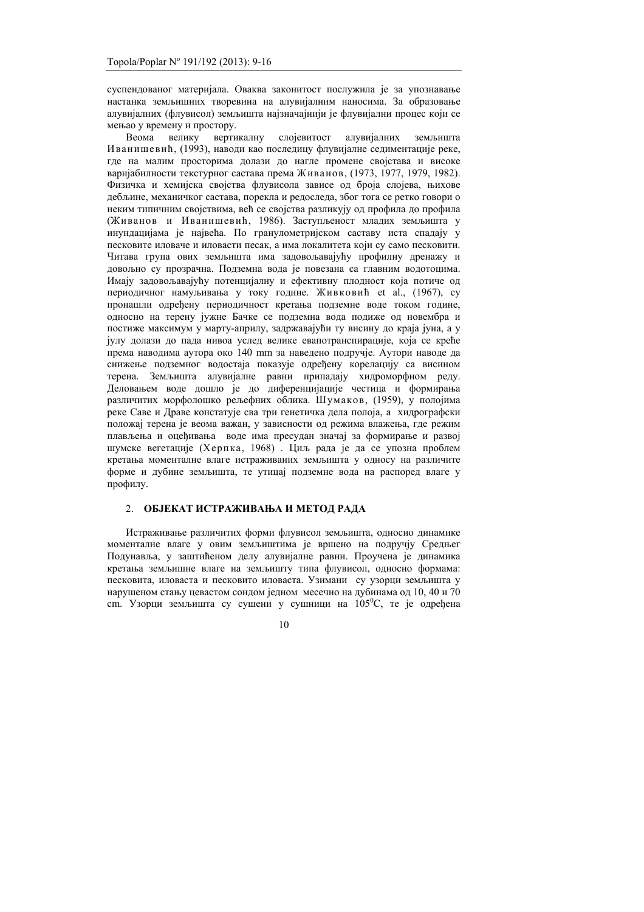суспендованог материјала. Оваква законитост послужила је за упознавање настанка земљишних творевина на алувијалним наносима. За образовање алувијалних (флувисол) земљишта најзначајнији је флувијални процес који се мењао у времену и простору.

Веома велику вертикалну слојевитост алувијалних земљишта Иванишевић, (1993), наводи као последицу флувијалне седиментације реке, где на малим просторима долази до нагле промене својстава и високе варијабилности текстурног састава према Живанов, (1973, 1977, 1979, 1982). Физичка и хемијска својства флувисола зависе од броја слојева, њихове дебљине, механичког састава, порекла и редоследа, због тога се ретко говори о неким типичним својствима, већ се својства разликују од профила до профила (Живанов и Иванишевић, 1986). Заступљеност младих земљишта у инундацијама је највећа. По гранулометријском саставу иста спадају у песковите иловаче и иловасти песак, а има локалитета који су само песковити. Читава група ових земљишта има задовољавајућу профилну дренажу и довољно су прозрачна. Подземна вода је повезана са главним водотоцима. Имају задовољавајућу потенцијалну и ефективну плодност која потиче од периодичног намуљивања у току године. Живковић et al., (1967), су пронашли одређену периодичност кретања подземне воде током године, односно на терену јужне Бачке се подземна вода подиже од новембра и постиже максимум у марту-априлу, залржавајући ту висину до краја јуна, а у ivлу лолази до пала нивоа услед велике евапотранспирације, која се креће према наводима аутора око 140 mm за наведено подручје. Аутори наводе да снижење подземног водостаја показује одређену корелацију са висином терена. Земљишта алувијалне равни припадају хидроморфном реду. деловањем воде дошло је до диференцијације честица и формирања различитих морфолошко рељефних облика. Шумаков, (1959), у полојима реке Саве и Драве констатује сва три генетичка дела полоја, а хидрографски •<br>положај терена је веома важан, у зависности од режима влажења, где режим плављења и оцећивања воде има пресудан значај за формирање и развој шумске вегетације (Херпка, 1968) . Циљ рада је да се упозна проблем **кретања моменталне влаге истраживаних земљишта у односу на различите** форме и дубине земљишта, те утицај подземне вода на распоред влаге у профилу.

# 2. **ОБЈЕКАТ ИСТРАЖИВАЊА И МЕТОД РАДА**

Истраживање различитих форми флувисол земљишта, односно динамике моменталне влаге у овим земљиштима је вршено на полручју Срелњег Подунавља, у заштићеном делу алувијалне равни. Проучена је динамика кретања земљишне влаге на земљишту типа флувисол, односно формама: песковита, иловаста и песковито иловаста. Узимани су узорци земљишта у нарушеном стању цевастом сондом једном месечно на дубинама од 10, 40 и 70 ст. Узорци земљишта су сушени у сушници на 105<sup>°</sup>С, те је одређена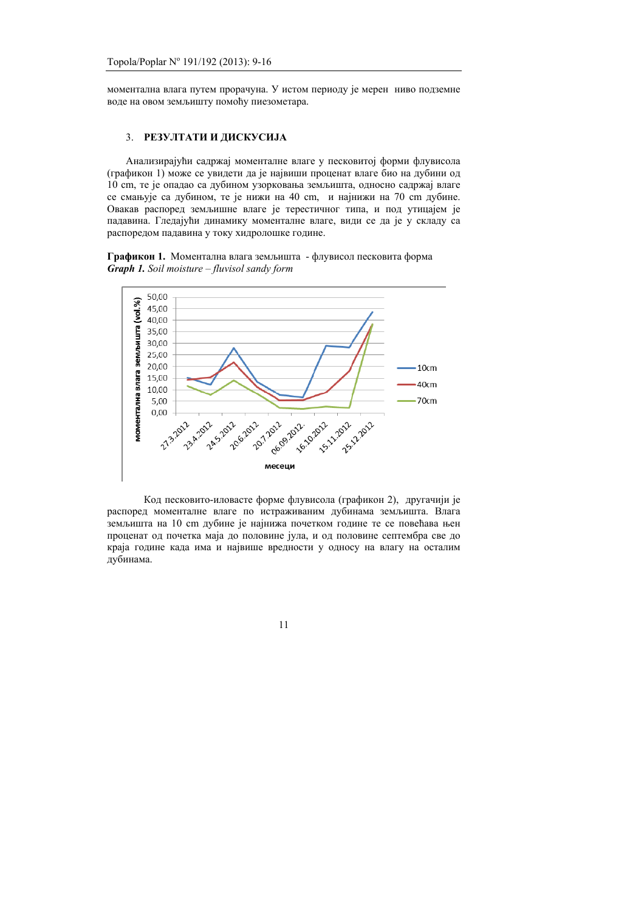моментална влага путем прорачуна. У истом периоду је мерен ниво подземне воде на овом земљишту помоћу пиезометара.

### 3. **РЕЗУЛТАТИ И ДИСКУСИЈА**

Анализирајући садржај моменталне влаге у песковитој форми флувисола (графикон 1) може се увидети да је највиши проценат влаге био на дубини од 10 cm, те је опадао са дубином узорковања земљишта, односно садржај влаге се смањује са дубином, те је нижи на 40 cm, и најнижи на 70 cm дубине. Овакав распоред земљишне влаге је терестичног типа, и под утицајем је падавина. Гледајући динамику моменталне влаге, види се да је у складу са распоредом падавина у току хидролошке године.

Графикон 1. Моментална влага земљишта - флувисол песковита форма *Graph 1. Soil moisture – fluvisol sandy form* 



Код песковито-иловасте форме флувисола (графикон 2), другачији је распоред моменталне влаге по истраживаним дубинама земљишта. Влага земљишта на 10 cm дубине је најнижа почетком године те се повећава њен проценат од почетка маја до половине јула, и од половине септембра све до краја године када има и највише вредности у односу на влагу на осталим дубинама.

11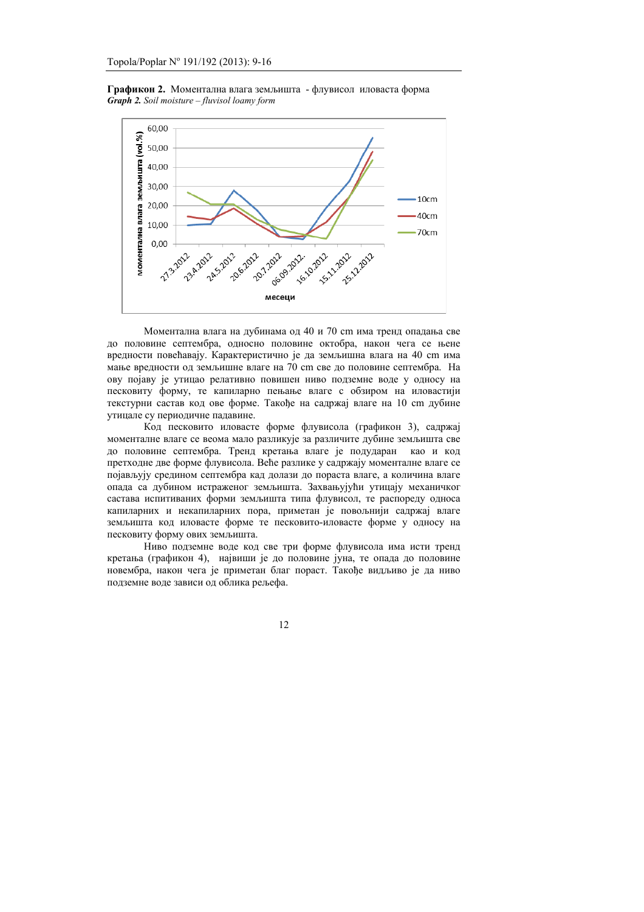Графикон 2. Моментална влага земљишта - флувисол иловаста форма *Graph 2. Soil moisture – fluvisol loamy form* 



Моментална влага на дубинама од 40 и 70 cm има тренд опадања све до половине септембра, односно половине октобра, након чега се њене вредности повећавају. Карактеристично је да земљишна влага на 40 cm има мање вредности од земљишне влаге на 70 cm све до половине септембра. На ову појаву је утицао релативно повишен ниво подземне воде у односу на песковиту форму, те капиларно пењање влаге с обзиром на иловастији текстурни састав код ове форме. Такође на садржај влаге на 10 cm дубине утицале су периодичне падавине.

Код песковито иловасте форме флувисола (графикон 3), садржај моменталне влаге се веома мало разликује за различите дубине земљишта све до половине септембра. Тренд кретања влаге је подударан као и код претходне две форме флувисола. Веће разлике у садржају моменталне влаге се појављују средином септембра кад долази до пораста влаге, а количина влаге опада са дубином истраженог земљишта. Захвањујући утицају механичког састава испитиваних форми земљишта типа флувисол, те распореду односа капиларних и некапиларних пора, приметан је повољнији садржај влаге земљишта код иловасте форме те песковито-иловасте форме у односу на песковиту форму ових земљишта.

Ниво подземне воде код све три форме флувисола има исти тренд кретања (графикон 4), највиши је до половине јуна, те опада до половине новембра, након чега је приметан благ пораст. Такође видљиво је да ниво подземне воде зависи од облика рељефа.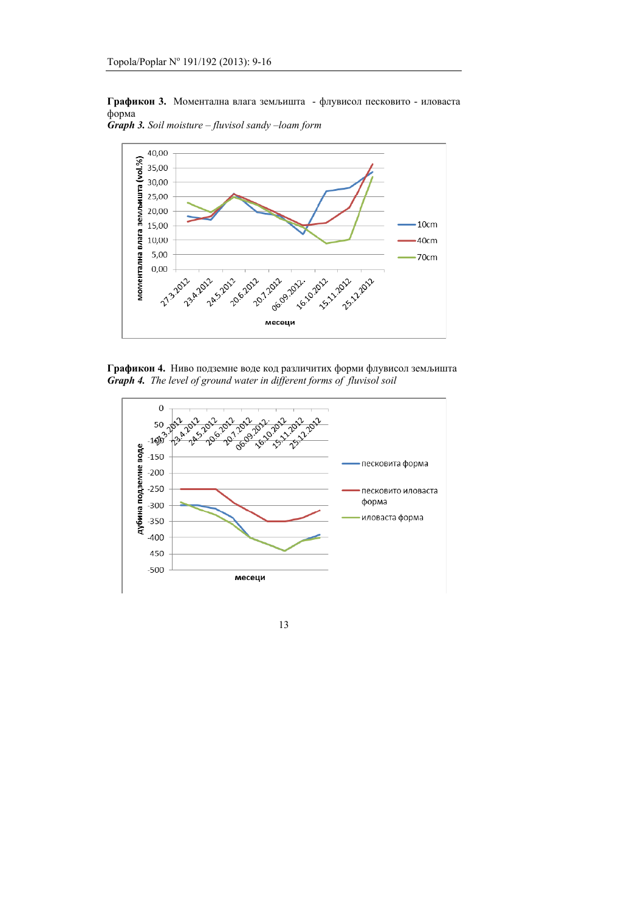Графикон 3. Моментална влага земљишта - флувисол песковито - иловаста форма



*Graph 3. Soil moisture – fluvisol sandy –loam form*



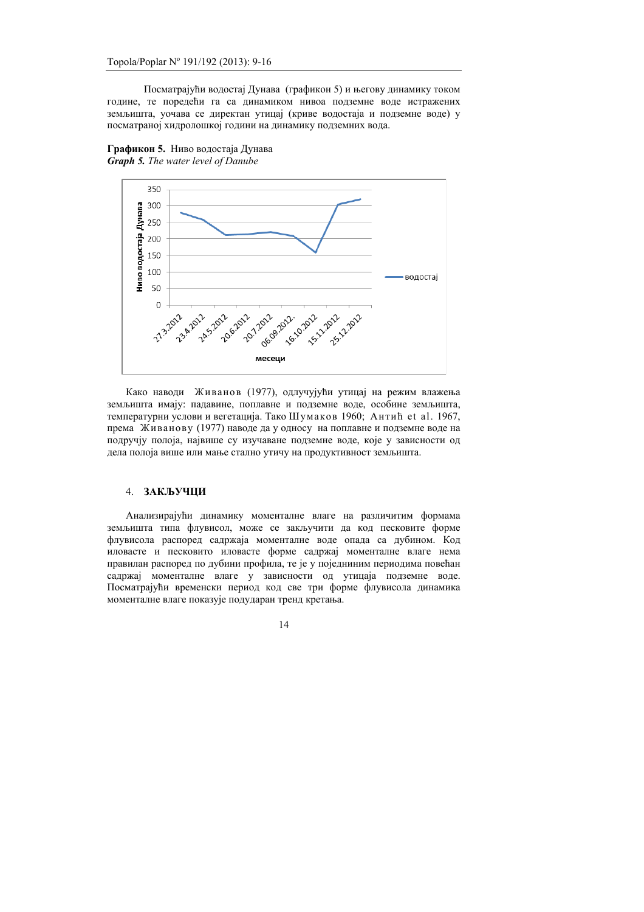Посматрајући водостај Дунава (графикон 5) и његову динамику током године, те поредећи га са динамиком нивоа подземне воде истражених земљишта, уочава се директан утицај (криве водостаја и подземне воде) у посматраној хидролошкој години на динамику подземних вода.



Графикон 5. Ниво водостаја Дунава *Graph 5. The water level of Danube*

Како наводи Живанов (1977), одлучујући утицај на режим влажења земљишта имају: падавине, поплавне и подземне воде, особине земљишта, температурни услови и вегетација. Тако Шумаков 1960; Антић et al. 1967, према Живанову (1977) наводе да у односу на поплавне и подземне воде на подручју полоја, највише су изучаване подземне воде, које у зависности од дела полоја више или мање стално утичу на продуктивност земљишта.

### 4. **ЗАКЉУЧЦИ**

Анализирајући динамику моменталне влаге на различитим формама земљишта типа флувисол, може се закључити да код песковите форме флувисола распоред садржаја моменталне воде опада са дубином. Код **иловасте и песковито иловасте форме садржа**ј моменталне влаге нема правилан распоред по дубини профила, те је у поједниним периодима повећан садржај моменталне влаге у зависности од утицаја подземне воде. Посматрајући временски период код све три форме флувисола динамика моменталне влаге показује подударан тренд кретања.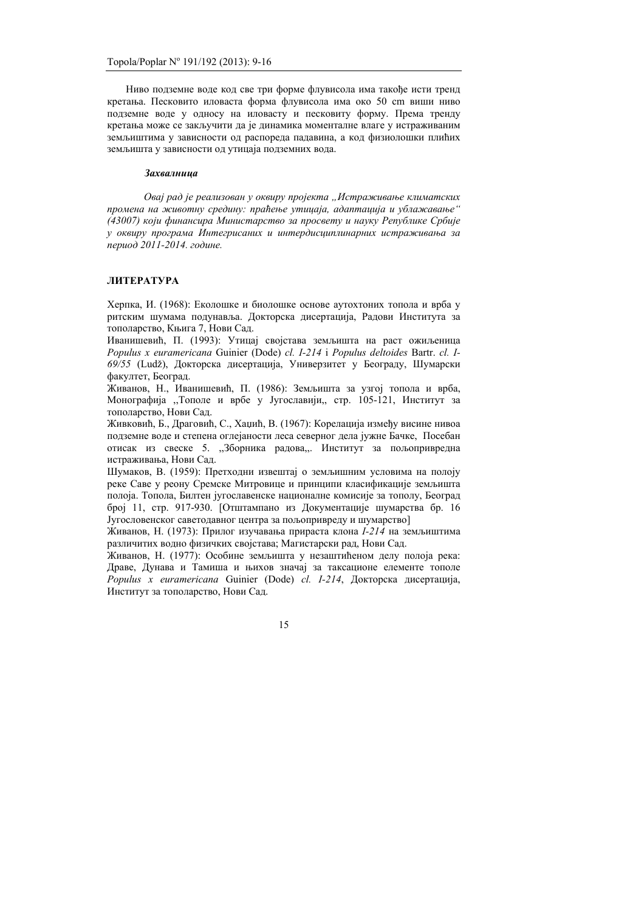Ниво подземне воде код све три форме флувисола има такође исти тренд кретања. Песковито иловаста форма флувисола има око 50 cm виши ниво подземне воде у односу на иловасту и песковиту форму. Према тренду кретања може се закључити да је динамика моменталне влаге у истраживаним земљиштима у зависности од распореда падавина, а код физиолошки плићих земљишта у зависности од утицаја подземних вода.

#### Захвалнииа

 $\alpha$ вај рад је реализован у оквиру пројекта "Истраживање климатских промена на животну средину: праћење утицаја, адаптација и ублажавање" (43007) који финансира Министарство за просвету и науку Републике Србије **у** оквиру програма Интегрисаних и интердисииплинарних истраживања за  $\mu$ *nepuod* 2011-2014. године.

### **ЛИТЕРАТУРА**

 $X$ ерпка, И. (1968): Еколошке и биолошке основе аутохтоних топола и врба у ритским шумама подунавља. Докторска дисертација, Радови Института за тополарство, Књига 7, Нови Сал.

Иванишевић, П. (1993): Утицај својстава земљишта на раст ожиљеница *Populus x euramericana* Guinier (Dode) *cl. I-214* i *Populus deltoides* Bartr. *cl. I-*69/55 (Ludž), Докторска дисертација, Универзитет у Београду, Шумарски факултет, Београд,

Живанов, Н., Иванишевић, П. (1986): Земљишта за узгој топола и врба, Монографија "Тополе и врбе у Југославији,, стр. 105-121, Институт за тополарство, Нови Сад.

Живковић, Б., Драговић, С., Хаџић, В. (1967): Корелација између висине нивоа подземне воде и степена оглејаности леса северног дела јужне Бачке. Посебан отисак из свеске 5. "Зборника радова,. Институт за пољопривредна истраживања. Нови Сад.

Шумаков, В. (1959): Претходни извештај о земљишним условима на полоју реке Саве у реону Сремске Митровице и принципи класификације земљишта полоја. Топола, Билтен југославенске националне комисије за тополу, Београд број 11, стр. 917-930. [Отштампано из Локументације шумарства бр. 16 Југословенског саветодавног центра за пољопривреду и шумарство]

Живанов, Н. (1973): Прилог изучавања прираста клона  $I-214$  на земљиштима различитих водно физичких својстава; Магистарски рад, Нови Сад.

Живанов, Н. (1977): Особине земљишта у незаштићеном делу полоја река: Драве, Дунава и Тамиша и њихов значај за таксационе елементе тополе *Populus x euramericana* Guinier (Dode) *cl. I-214*, Докторска дисертација, Институт за тополарство, Нови Сад.